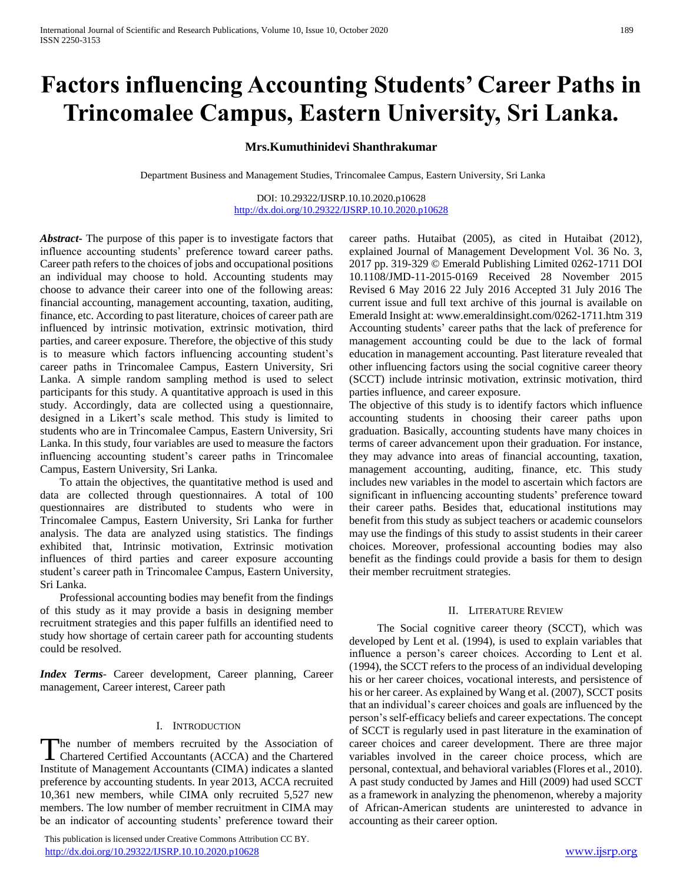# **Factors influencing Accounting Students' Career Paths in Trincomalee Campus, Eastern University, Sri Lanka.**

# **Mrs.Kumuthinidevi Shanthrakumar**

Department Business and Management Studies, Trincomalee Campus, Eastern University, Sri Lanka

DOI: 10.29322/IJSRP.10.10.2020.p10628 <http://dx.doi.org/10.29322/IJSRP.10.10.2020.p10628>

*Abstract***-** The purpose of this paper is to investigate factors that influence accounting students' preference toward career paths. Career path refers to the choices of jobs and occupational positions an individual may choose to hold. Accounting students may choose to advance their career into one of the following areas: financial accounting, management accounting, taxation, auditing, finance, etc. According to past literature, choices of career path are influenced by intrinsic motivation, extrinsic motivation, third parties, and career exposure. Therefore, the objective of this study is to measure which factors influencing accounting student's career paths in Trincomalee Campus, Eastern University, Sri Lanka. A simple random sampling method is used to select participants for this study. A quantitative approach is used in this study. Accordingly, data are collected using a questionnaire, designed in a Likert's scale method. This study is limited to students who are in Trincomalee Campus, Eastern University, Sri Lanka. In this study, four variables are used to measure the factors influencing accounting student's career paths in Trincomalee Campus, Eastern University, Sri Lanka.

 To attain the objectives, the quantitative method is used and data are collected through questionnaires. A total of 100 questionnaires are distributed to students who were in Trincomalee Campus, Eastern University, Sri Lanka for further analysis. The data are analyzed using statistics. The findings exhibited that, Intrinsic motivation, Extrinsic motivation influences of third parties and career exposure accounting student's career path in Trincomalee Campus, Eastern University, Sri Lanka.

 Professional accounting bodies may benefit from the findings of this study as it may provide a basis in designing member recruitment strategies and this paper fulfills an identified need to study how shortage of certain career path for accounting students could be resolved.

*Index Terms*- Career development, Career planning, Career management, Career interest, Career path

#### I. INTRODUCTION

he number of members recruited by the Association of The number of members recruited by the Association of Chartered Certified Accountants (ACCA) and the Chartered Institute of Management Accountants (CIMA) indicates a slanted preference by accounting students. In year 2013, ACCA recruited 10,361 new members, while CIMA only recruited 5,527 new members. The low number of member recruitment in CIMA may be an indicator of accounting students' preference toward their

 This publication is licensed under Creative Commons Attribution CC BY. <http://dx.doi.org/10.29322/IJSRP.10.10.2020.p10628> [www.ijsrp.org](http://ijsrp.org/)

career paths. Hutaibat (2005), as cited in Hutaibat (2012), explained Journal of Management Development Vol. 36 No. 3, 2017 pp. 319-329 © Emerald Publishing Limited 0262-1711 DOI 10.1108/JMD-11-2015-0169 Received 28 November 2015 Revised 6 May 2016 22 July 2016 Accepted 31 July 2016 The current issue and full text archive of this journal is available on Emerald Insight at: www.emeraldinsight.com/0262-1711.htm 319 Accounting students' career paths that the lack of preference for management accounting could be due to the lack of formal education in management accounting. Past literature revealed that other influencing factors using the social cognitive career theory (SCCT) include intrinsic motivation, extrinsic motivation, third parties influence, and career exposure.

The objective of this study is to identify factors which influence accounting students in choosing their career paths upon graduation. Basically, accounting students have many choices in terms of career advancement upon their graduation. For instance, they may advance into areas of financial accounting, taxation, management accounting, auditing, finance, etc. This study includes new variables in the model to ascertain which factors are significant in influencing accounting students' preference toward their career paths. Besides that, educational institutions may benefit from this study as subject teachers or academic counselors may use the findings of this study to assist students in their career choices. Moreover, professional accounting bodies may also benefit as the findings could provide a basis for them to design their member recruitment strategies.

#### II. LITERATURE REVIEW

 The Social cognitive career theory (SCCT), which was developed by Lent et al. (1994), is used to explain variables that influence a person's career choices. According to Lent et al. (1994), the SCCT refers to the process of an individual developing his or her career choices, vocational interests, and persistence of his or her career. As explained by Wang et al. (2007), SCCT posits that an individual's career choices and goals are influenced by the person's self-efficacy beliefs and career expectations. The concept of SCCT is regularly used in past literature in the examination of career choices and career development. There are three major variables involved in the career choice process, which are personal, contextual, and behavioral variables (Flores et al., 2010). A past study conducted by James and Hill (2009) had used SCCT as a framework in analyzing the phenomenon, whereby a majority of African-American students are uninterested to advance in accounting as their career option.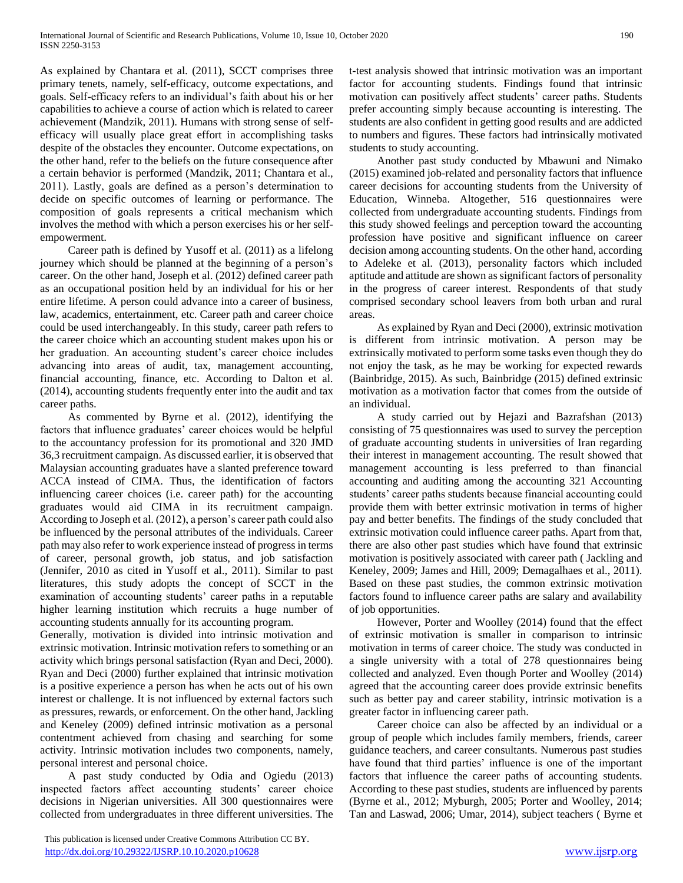As explained by Chantara et al. (2011), SCCT comprises three primary tenets, namely, self-efficacy, outcome expectations, and goals. Self-efficacy refers to an individual's faith about his or her capabilities to achieve a course of action which is related to career achievement (Mandzik, 2011). Humans with strong sense of selfefficacy will usually place great effort in accomplishing tasks despite of the obstacles they encounter. Outcome expectations, on the other hand, refer to the beliefs on the future consequence after a certain behavior is performed (Mandzik, 2011; Chantara et al., 2011). Lastly, goals are defined as a person's determination to decide on specific outcomes of learning or performance. The composition of goals represents a critical mechanism which involves the method with which a person exercises his or her selfempowerment.

 Career path is defined by Yusoff et al. (2011) as a lifelong journey which should be planned at the beginning of a person's career. On the other hand, Joseph et al. (2012) defined career path as an occupational position held by an individual for his or her entire lifetime. A person could advance into a career of business, law, academics, entertainment, etc. Career path and career choice could be used interchangeably. In this study, career path refers to the career choice which an accounting student makes upon his or her graduation. An accounting student's career choice includes advancing into areas of audit, tax, management accounting, financial accounting, finance, etc. According to Dalton et al. (2014), accounting students frequently enter into the audit and tax career paths.

 As commented by Byrne et al. (2012), identifying the factors that influence graduates' career choices would be helpful to the accountancy profession for its promotional and 320 JMD 36,3 recruitment campaign. As discussed earlier, it is observed that Malaysian accounting graduates have a slanted preference toward ACCA instead of CIMA. Thus, the identification of factors influencing career choices (i.e. career path) for the accounting graduates would aid CIMA in its recruitment campaign. According to Joseph et al. (2012), a person's career path could also be influenced by the personal attributes of the individuals. Career path may also refer to work experience instead of progress in terms of career, personal growth, job status, and job satisfaction (Jennifer, 2010 as cited in Yusoff et al., 2011). Similar to past literatures, this study adopts the concept of SCCT in the examination of accounting students' career paths in a reputable higher learning institution which recruits a huge number of accounting students annually for its accounting program.

Generally, motivation is divided into intrinsic motivation and extrinsic motivation. Intrinsic motivation refers to something or an activity which brings personal satisfaction (Ryan and Deci, 2000). Ryan and Deci (2000) further explained that intrinsic motivation is a positive experience a person has when he acts out of his own interest or challenge. It is not influenced by external factors such as pressures, rewards, or enforcement. On the other hand, Jackling and Keneley (2009) defined intrinsic motivation as a personal contentment achieved from chasing and searching for some activity. Intrinsic motivation includes two components, namely, personal interest and personal choice.

 A past study conducted by Odia and Ogiedu (2013) inspected factors affect accounting students' career choice decisions in Nigerian universities. All 300 questionnaires were collected from undergraduates in three different universities. The

t-test analysis showed that intrinsic motivation was an important factor for accounting students. Findings found that intrinsic motivation can positively affect students' career paths. Students prefer accounting simply because accounting is interesting. The students are also confident in getting good results and are addicted to numbers and figures. These factors had intrinsically motivated students to study accounting.

 Another past study conducted by Mbawuni and Nimako (2015) examined job-related and personality factors that influence career decisions for accounting students from the University of Education, Winneba. Altogether, 516 questionnaires were collected from undergraduate accounting students. Findings from this study showed feelings and perception toward the accounting profession have positive and significant influence on career decision among accounting students. On the other hand, according to Adeleke et al. (2013), personality factors which included aptitude and attitude are shown as significant factors of personality in the progress of career interest. Respondents of that study comprised secondary school leavers from both urban and rural areas.

 As explained by Ryan and Deci (2000), extrinsic motivation is different from intrinsic motivation. A person may be extrinsically motivated to perform some tasks even though they do not enjoy the task, as he may be working for expected rewards (Bainbridge, 2015). As such, Bainbridge (2015) defined extrinsic motivation as a motivation factor that comes from the outside of an individual.

 A study carried out by Hejazi and Bazrafshan (2013) consisting of 75 questionnaires was used to survey the perception of graduate accounting students in universities of Iran regarding their interest in management accounting. The result showed that management accounting is less preferred to than financial accounting and auditing among the accounting 321 Accounting students' career paths students because financial accounting could provide them with better extrinsic motivation in terms of higher pay and better benefits. The findings of the study concluded that extrinsic motivation could influence career paths. Apart from that, there are also other past studies which have found that extrinsic motivation is positively associated with career path ( Jackling and Keneley, 2009; James and Hill, 2009; Demagalhaes et al., 2011). Based on these past studies, the common extrinsic motivation factors found to influence career paths are salary and availability of job opportunities.

 However, Porter and Woolley (2014) found that the effect of extrinsic motivation is smaller in comparison to intrinsic motivation in terms of career choice. The study was conducted in a single university with a total of 278 questionnaires being collected and analyzed. Even though Porter and Woolley (2014) agreed that the accounting career does provide extrinsic benefits such as better pay and career stability, intrinsic motivation is a greater factor in influencing career path.

 Career choice can also be affected by an individual or a group of people which includes family members, friends, career guidance teachers, and career consultants. Numerous past studies have found that third parties' influence is one of the important factors that influence the career paths of accounting students. According to these past studies, students are influenced by parents (Byrne et al., 2012; Myburgh, 2005; Porter and Woolley, 2014; Tan and Laswad, 2006; Umar, 2014), subject teachers ( Byrne et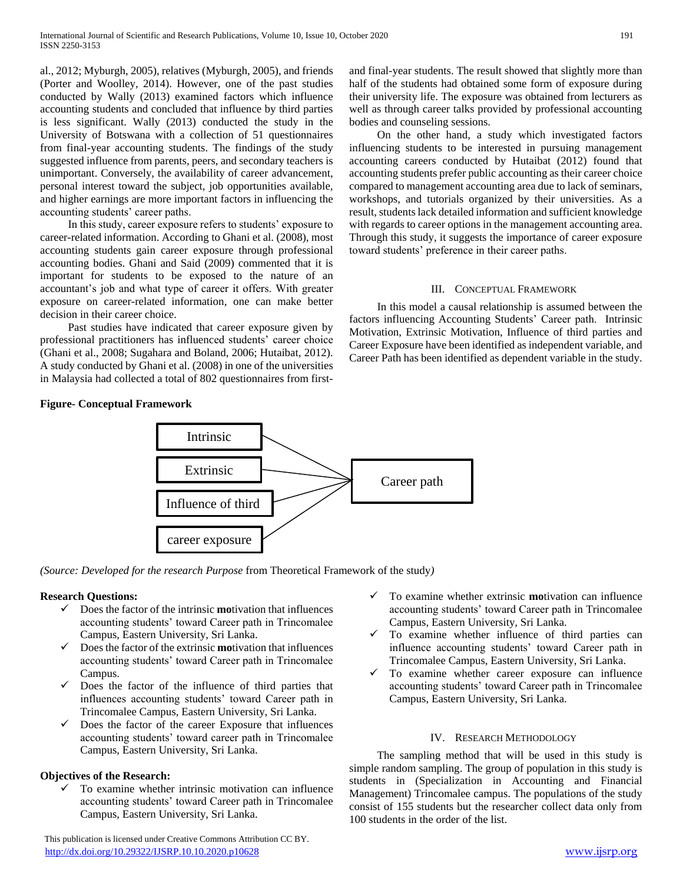al., 2012; Myburgh, 2005), relatives (Myburgh, 2005), and friends (Porter and Woolley, 2014). However, one of the past studies conducted by Wally (2013) examined factors which influence accounting students and concluded that influence by third parties is less significant. Wally (2013) conducted the study in the University of Botswana with a collection of 51 questionnaires from final-year accounting students. The findings of the study suggested influence from parents, peers, and secondary teachers is unimportant. Conversely, the availability of career advancement, personal interest toward the subject, job opportunities available, and higher earnings are more important factors in influencing the accounting students' career paths.

 In this study, career exposure refers to students' exposure to career-related information. According to Ghani et al. (2008), most accounting students gain career exposure through professional accounting bodies. Ghani and Said (2009) commented that it is important for students to be exposed to the nature of an accountant's job and what type of career it offers. With greater exposure on career-related information, one can make better decision in their career choice.

 Past studies have indicated that career exposure given by professional practitioners has influenced students' career choice (Ghani et al., 2008; Sugahara and Boland, 2006; Hutaibat, 2012). A study conducted by Ghani et al. (2008) in one of the universities in Malaysia had collected a total of 802 questionnaires from firstand final-year students. The result showed that slightly more than half of the students had obtained some form of exposure during their university life. The exposure was obtained from lecturers as well as through career talks provided by professional accounting bodies and counseling sessions.

 On the other hand, a study which investigated factors influencing students to be interested in pursuing management accounting careers conducted by Hutaibat (2012) found that accounting students prefer public accounting as their career choice compared to management accounting area due to lack of seminars, workshops, and tutorials organized by their universities. As a result, students lack detailed information and sufficient knowledge with regards to career options in the management accounting area. Through this study, it suggests the importance of career exposure toward students' preference in their career paths.

### III. CONCEPTUAL FRAMEWORK

 In this model a causal relationship is assumed between the factors influencing Accounting Students' Career path. Intrinsic Motivation, Extrinsic Motivation, Influence of third parties and Career Exposure have been identified as independent variable, and Career Path has been identified as dependent variable in the study.

# **Figure- Conceptual Framework**



*(Source: Developed for the research Purpose* from Theoretical Framework of the study*)*

# **Research Questions:**

- Does the factor of the intrinsic **mo**tivation that influences accounting students' toward Career path in Trincomalee Campus, Eastern University, Sri Lanka.
- $\checkmark$  Does the factor of the extrinsic **mo**tivation that influences accounting students' toward Career path in Trincomalee Campus.
- Does the factor of the influence of third parties that influences accounting students' toward Career path in Trincomalee Campus, Eastern University, Sri Lanka.
- Does the factor of the career Exposure that influences accounting students' toward career path in Trincomalee Campus, Eastern University, Sri Lanka.

# **Objectives of the Research:**

 $\checkmark$  To examine whether intrinsic motivation can influence accounting students' toward Career path in Trincomalee Campus, Eastern University, Sri Lanka.

 This publication is licensed under Creative Commons Attribution CC BY. <http://dx.doi.org/10.29322/IJSRP.10.10.2020.p10628> [www.ijsrp.org](http://ijsrp.org/)

- To examine whether extrinsic **mo**tivation can influence accounting students' toward Career path in Trincomalee Campus, Eastern University, Sri Lanka.
- $\checkmark$  To examine whether influence of third parties can influence accounting students' toward Career path in Trincomalee Campus, Eastern University, Sri Lanka.
- $\checkmark$  To examine whether career exposure can influence accounting students' toward Career path in Trincomalee Campus, Eastern University, Sri Lanka.

#### IV. RESEARCH METHODOLOGY

 The sampling method that will be used in this study is simple random sampling. The group of population in this study is students in (Specialization in Accounting and Financial Management) Trincomalee campus. The populations of the study consist of 155 students but the researcher collect data only from 100 students in the order of the list.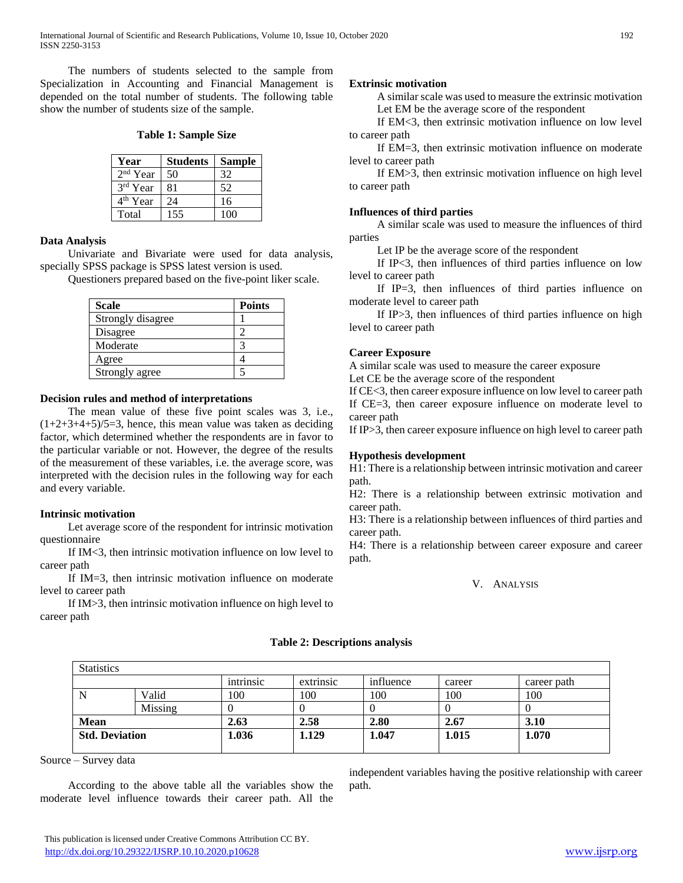The numbers of students selected to the sample from Specialization in Accounting and Financial Management is depended on the total number of students. The following table show the number of students size of the sample.

#### **Table 1: Sample Size**

| Year                 | <b>Students</b> | <b>Sample</b> |
|----------------------|-----------------|---------------|
| $2nd$ Year           | 50              | 32            |
| 3rd Year             | 81              | 52            |
| 4 <sup>th</sup> Year | 24              | 16            |
| Total                | 155             | 100           |

#### **Data Analysis**

 Univariate and Bivariate were used for data analysis, specially SPSS package is SPSS latest version is used.

Questioners prepared based on the five-point liker scale.

| <b>Scale</b>      | <b>Points</b> |
|-------------------|---------------|
| Strongly disagree |               |
| Disagree          |               |
| Moderate          |               |
| Agree             |               |
| Strongly agree    |               |

#### **Decision rules and method of interpretations**

 The mean value of these five point scales was 3, i.e.,  $(1+2+3+4+5)/5=3$ , hence, this mean value was taken as deciding factor, which determined whether the respondents are in favor to the particular variable or not. However, the degree of the results of the measurement of these variables, i.e. the average score, was interpreted with the decision rules in the following way for each and every variable.

#### **Intrinsic motivation**

 Let average score of the respondent for intrinsic motivation questionnaire

 If IM<3, then intrinsic motivation influence on low level to career path

 If IM=3, then intrinsic motivation influence on moderate level to career path

 If IM>3, then intrinsic motivation influence on high level to career path

#### **Extrinsic motivation**

 A similar scale was used to measure the extrinsic motivation Let EM be the average score of the respondent

 If EM<3, then extrinsic motivation influence on low level to career path

 If EM=3, then extrinsic motivation influence on moderate level to career path

 If EM>3, then extrinsic motivation influence on high level to career path

#### **Influences of third parties**

 A similar scale was used to measure the influences of third parties

Let IP be the average score of the respondent

 If IP<3, then influences of third parties influence on low level to career path

 If IP=3, then influences of third parties influence on moderate level to career path

 If IP>3, then influences of third parties influence on high level to career path

#### **Career Exposure**

A similar scale was used to measure the career exposure

Let CE be the average score of the respondent

If CE<3, then career exposure influence on low level to career path If CE=3, then career exposure influence on moderate level to career path

If IP>3, then career exposure influence on high level to career path

#### **Hypothesis development**

H1: There is a relationship between intrinsic motivation and career path.

H2: There is a relationship between extrinsic motivation and career path.

H3: There is a relationship between influences of third parties and career path.

H4: There is a relationship between career exposure and career path.

V. ANALYSIS

# **Statistics** intrinsic extrinsic influence career career career path N | Valid | 100 | 100 | 100 | 100 | 100 Missing  $\begin{vmatrix} 0 & 0 \\ 0 & 0 \end{vmatrix}$   $\begin{vmatrix} 0 & 0 \\ 0 & 0 \end{vmatrix}$   $\begin{vmatrix} 0 & 0 \\ 0 & 0 \end{vmatrix}$ **Mean 2.63 2.58 2.80 2.67 3.10 Std. Deviation 1.036 1.129 1.047 1.015 1.070**

**Table 2: Descriptions analysis**

Source – Survey data

 According to the above table all the variables show the moderate level influence towards their career path. All the independent variables having the positive relationship with career path.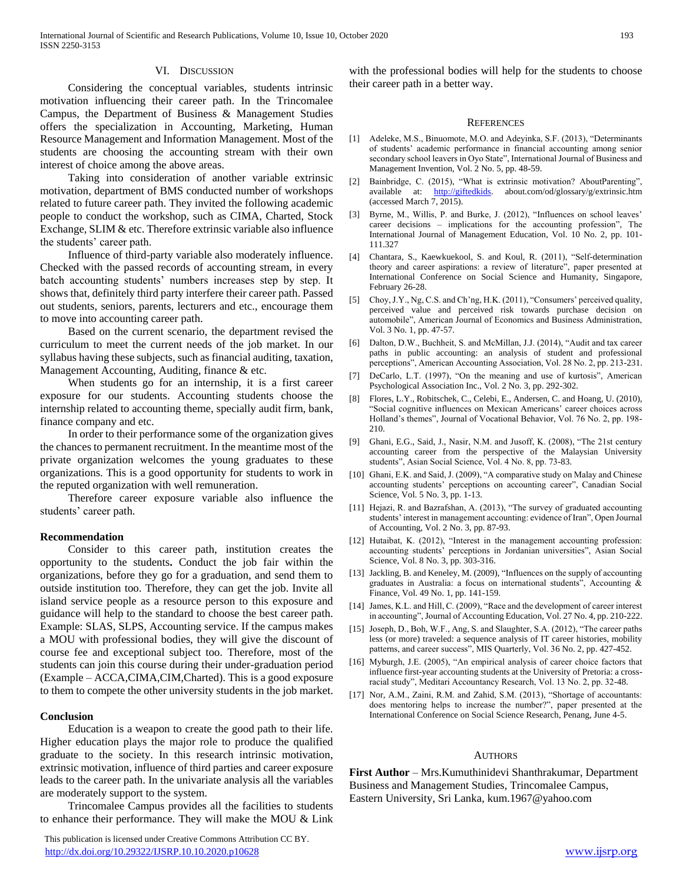#### VI. DISCUSSION

 Considering the conceptual variables, students intrinsic motivation influencing their career path. In the Trincomalee Campus, the Department of Business & Management Studies offers the specialization in Accounting, Marketing, Human Resource Management and Information Management. Most of the students are choosing the accounting stream with their own interest of choice among the above areas.

 Taking into consideration of another variable extrinsic motivation, department of BMS conducted number of workshops related to future career path. They invited the following academic people to conduct the workshop, such as CIMA, Charted, Stock Exchange, SLIM & etc. Therefore extrinsic variable also influence the students' career path.

 Influence of third-party variable also moderately influence. Checked with the passed records of accounting stream, in every batch accounting students' numbers increases step by step. It shows that, definitely third party interfere their career path. Passed out students, seniors, parents, lecturers and etc., encourage them to move into accounting career path.

 Based on the current scenario, the department revised the curriculum to meet the current needs of the job market. In our syllabus having these subjects, such as financial auditing, taxation, Management Accounting, Auditing, finance & etc.

 When students go for an internship, it is a first career exposure for our students. Accounting students choose the internship related to accounting theme, specially audit firm, bank, finance company and etc.

 In order to their performance some of the organization gives the chances to permanent recruitment. In the meantime most of the private organization welcomes the young graduates to these organizations. This is a good opportunity for students to work in the reputed organization with well remuneration.

 Therefore career exposure variable also influence the students' career path.

#### **Recommendation**

 Consider to this career path, institution creates the opportunity to the students**.** Conduct the job fair within the organizations, before they go for a graduation, and send them to outside institution too. Therefore, they can get the job. Invite all island service people as a resource person to this exposure and guidance will help to the standard to choose the best career path. Example: SLAS, SLPS, Accounting service. If the campus makes a MOU with professional bodies, they will give the discount of course fee and exceptional subject too. Therefore, most of the students can join this course during their under-graduation period (Example – ACCA,CIMA,CIM,Charted). This is a good exposure to them to compete the other university students in the job market.

#### **Conclusion**

 Education is a weapon to create the good path to their life. Higher education plays the major role to produce the qualified graduate to the society. In this research intrinsic motivation, extrinsic motivation, influence of third parties and career exposure leads to the career path. In the univariate analysis all the variables are moderately support to the system.

 Trincomalee Campus provides all the facilities to students to enhance their performance. They will make the MOU & Link

 This publication is licensed under Creative Commons Attribution CC BY. <http://dx.doi.org/10.29322/IJSRP.10.10.2020.p10628> [www.ijsrp.org](http://ijsrp.org/)

with the professional bodies will help for the students to choose their career path in a better way.

#### **REFERENCES**

- [1] Adeleke, M.S., Binuomote, M.O. and Adeyinka, S.F. (2013), "Determinants of students' academic performance in financial accounting among senior secondary school leavers in Oyo State", International Journal of Business and Management Invention, Vol. 2 No. 5, pp. 48-59.
- [2] Bainbridge, C. (2015), "What is extrinsic motivation? AboutParenting", available at: [http://giftedkids.](http://giftedkids/) about.com/od/glossary/g/extrinsic.htm (accessed March 7, 2015).
- [3] Byrne, M., Willis, P. and Burke, J. (2012), "Influences on school leaves' career decisions – implications for the accounting profession", The International Journal of Management Education, Vol. 10 No. 2, pp. 101- 111.327
- [4] Chantara, S., Kaewkuekool, S. and Koul, R. (2011), "Self-determination theory and career aspirations: a review of literature", paper presented at International Conference on Social Science and Humanity, Singapore, February 26-28.
- [5] Choy, J.Y., Ng, C.S. and Ch'ng, H.K. (2011), "Consumers' perceived quality, perceived value and perceived risk towards purchase decision on automobile", American Journal of Economics and Business Administration, Vol. 3 No. 1, pp. 47-57.
- [6] Dalton, D.W., Buchheit, S. and McMillan, J.J. (2014), "Audit and tax career paths in public accounting: an analysis of student and professional perceptions", American Accounting Association, Vol. 28 No. 2, pp. 213-231.
- [7] DeCarlo, L.T. (1997), "On the meaning and use of kurtosis", American Psychological Association Inc., Vol. 2 No. 3, pp. 292-302.
- [8] Flores, L.Y., Robitschek, C., Celebi, E., Andersen, C. and Hoang, U. (2010), "Social cognitive influences on Mexican Americans' career choices across Holland's themes", Journal of Vocational Behavior, Vol. 76 No. 2, pp. 198- 210.
- [9] Ghani, E.G., Said, J., Nasir, N.M. and Jusoff, K. (2008), "The 21st century accounting career from the perspective of the Malaysian University students", Asian Social Science, Vol. 4 No. 8, pp. 73-83.
- [10] Ghani, E.K. and Said, J. (2009), "A comparative study on Malay and Chinese accounting students' perceptions on accounting career", Canadian Social Science, Vol. 5 No. 3, pp. 1-13.
- [11] Hejazi, R. and Bazrafshan, A. (2013), "The survey of graduated accounting students' interest in management accounting: evidence of Iran", Open Journal of Accounting, Vol. 2 No. 3, pp. 87-93.
- [12] Hutaibat, K. (2012), "Interest in the management accounting profession: accounting students' perceptions in Jordanian universities", Asian Social Science, Vol. 8 No. 3, pp. 303-316.
- [13] Jackling, B. and Keneley, M. (2009), "Influences on the supply of accounting graduates in Australia: a focus on international students", Accounting  $\&$ Finance, Vol. 49 No. 1, pp. 141-159.
- [14] James, K.L. and Hill, C. (2009), "Race and the development of career interest in accounting", Journal of Accounting Education, Vol. 27 No. 4, pp. 210-222.
- [15] Joseph, D., Boh, W.F., Ang, S. and Slaughter, S.A. (2012), "The career paths less (or more) traveled: a sequence analysis of IT career histories, mobility patterns, and career success", MIS Quarterly, Vol. 36 No. 2, pp. 427-452.
- [16] Myburgh, J.E. (2005), "An empirical analysis of career choice factors that influence first-year accounting students at the University of Pretoria: a crossracial study", Meditari Accountancy Research, Vol. 13 No. 2, pp. 32-48.
- [17] Nor, A.M., Zaini, R.M. and Zahid, S.M. (2013), "Shortage of accountants: does mentoring helps to increase the number?", paper presented at the International Conference on Social Science Research, Penang, June 4-5.

#### AUTHORS

**First Author** – Mrs.Kumuthinidevi Shanthrakumar, Department Business and Management Studies, Trincomalee Campus, Eastern University, Sri Lanka, kum.1967@yahoo.com